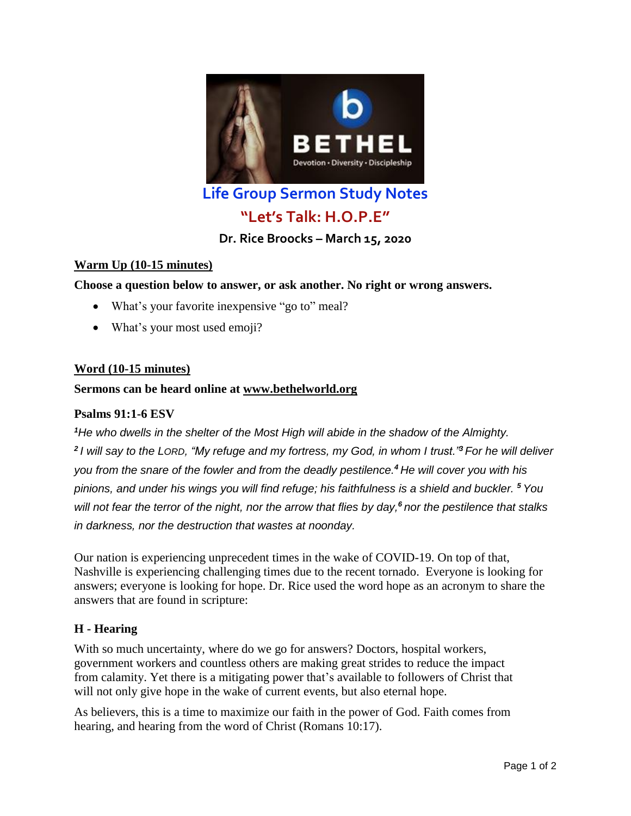

**Life Group Sermon Study Notes**

# **"Let's Talk: H.O.P.E"**

**Dr. Rice Broocks – March 15, 2020**

# **Warm Up (10-15 minutes)**

**Choose a question below to answer, or ask another. No right or wrong answers.**

- What's your favorite inexpensive "go to" meal?
- What's your most used emoji?

# **Word (10-15 minutes)**

#### **Sermons can be heard online at [www.bethelworld.org](http://www.bethelworld.org/)**

#### **Psalms 91:1-6 ESV**

*<sup>1</sup>He who dwells in the shelter of the Most High will abide in the shadow of the Almighty. 2 I will say to the LORD, "My refuge and my fortress, my God, in whom I trust."<sup>3</sup> For he will deliver you from the snare of the fowler and from the deadly pestilence.<sup>4</sup> He will cover you with his pinions, and under his wings you will find refuge; his faithfulness is a shield and buckler. <sup>5</sup> You will not fear the terror of the night, nor the arrow that flies by day,<sup>6</sup> nor the pestilence that stalks in darkness, nor the destruction that wastes at noonday.*

Our nation is experiencing unprecedent times in the wake of COVID-19. On top of that, Nashville is experiencing challenging times due to the recent tornado. Everyone is looking for answers; everyone is looking for hope. Dr. Rice used the word hope as an acronym to share the answers that are found in scripture:

# **H - Hearing**

With so much uncertainty, where do we go for answers? Doctors, hospital workers, government workers and countless others are making great strides to reduce the impact from calamity. Yet there is a mitigating power that's available to followers of Christ that will not only give hope in the wake of current events, but also eternal hope.

As believers, this is a time to maximize our faith in the power of God. Faith comes from hearing, and hearing from the word of Christ (Romans 10:17).